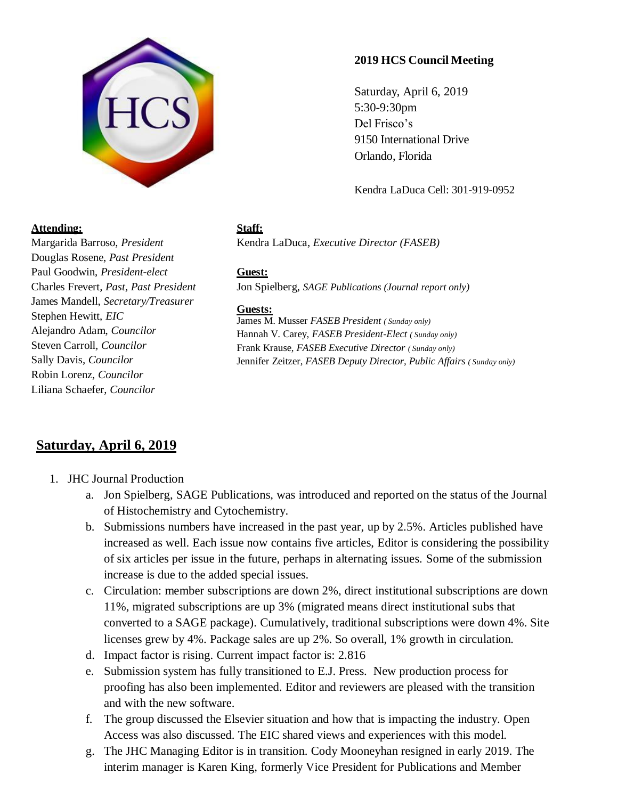

## **Attending:**

Margarida Barroso, *President*  Douglas Rosene, *Past President*  Paul Goodwin, *President-elect*  Charles Frevert*, Past, Past President*  James Mandell, *Secretary/Treasurer*  Stephen Hewitt, *EIC* Alejandro Adam, *Councilor*  Steven Carroll*, Councilor* Sally Davis*, Councilor*  Robin Lorenz, *Councilor*  Liliana Schaefer, *Councilor*

## **2019 HCS Council Meeting**

Saturday, April 6, 2019 5:30-9:30pm Del Frisco's 9150 International Drive Orlando, Florida

Kendra LaDuca Cell: 301-919-0952

## **Staff:**

Kendra LaDuca, *Executive Director (FASEB)*

#### **Guest:**

Jon Spielberg, *SAGE Publications (Journal report only)*

#### **Guests:**

James M. Musser *FASEB President ( Sunday only)* Hannah V. Carey, *FASEB President-Elect ( Sunday only)* Frank Krause, *FASEB Executive Director ( Sunday only)* Jennifer Zeitzer, *FASEB Deputy Director, Public Affairs ( Sunday only)*

# **Saturday, April 6, 2019**

- 1. JHC Journal Production
	- a. Jon Spielberg, SAGE Publications, was introduced and reported on the status of the Journal of Histochemistry and Cytochemistry.
	- b. Submissions numbers have increased in the past year, up by 2.5%. Articles published have increased as well. Each issue now contains five articles, Editor is considering the possibility of six articles per issue in the future, perhaps in alternating issues. Some of the submission increase is due to the added special issues.
	- c. Circulation: member subscriptions are down 2%, direct institutional subscriptions are down 11%, migrated subscriptions are up 3% (migrated means direct institutional subs that converted to a SAGE package). Cumulatively, traditional subscriptions were down 4%. Site licenses grew by 4%. Package sales are up 2%. So overall, 1% growth in circulation.
	- d. Impact factor is rising. Current impact factor is: 2.816
	- e. Submission system has fully transitioned to E.J. Press. New production process for proofing has also been implemented. Editor and reviewers are pleased with the transition and with the new software.
	- f. The group discussed the Elsevier situation and how that is impacting the industry. Open Access was also discussed. The EIC shared views and experiences with this model.
	- g. The JHC Managing Editor is in transition. Cody Mooneyhan resigned in early 2019. The interim manager is Karen King, formerly Vice President for Publications and Member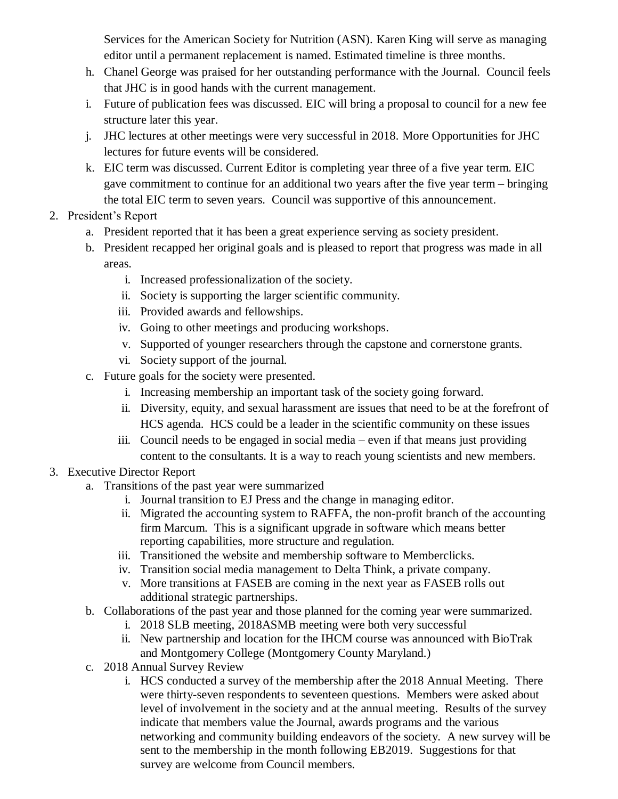Services for the American Society for Nutrition (ASN). Karen King will serve as managing editor until a permanent replacement is named. Estimated timeline is three months.

- h. Chanel George was praised for her outstanding performance with the Journal. Council feels that JHC is in good hands with the current management.
- i. Future of publication fees was discussed. EIC will bring a proposal to council for a new fee structure later this year.
- j. JHC lectures at other meetings were very successful in 2018. More Opportunities for JHC lectures for future events will be considered.
- k. EIC term was discussed. Current Editor is completing year three of a five year term. EIC gave commitment to continue for an additional two years after the five year term – bringing the total EIC term to seven years. Council was supportive of this announcement.
- 2. President's Report
	- a. President reported that it has been a great experience serving as society president.
	- b. President recapped her original goals and is pleased to report that progress was made in all areas.
		- i. Increased professionalization of the society.
		- ii. Society is supporting the larger scientific community.
		- iii. Provided awards and fellowships.
		- iv. Going to other meetings and producing workshops.
		- v. Supported of younger researchers through the capstone and cornerstone grants.
		- vi. Society support of the journal.
	- c. Future goals for the society were presented.
		- i. Increasing membership an important task of the society going forward.
		- ii. Diversity, equity, and sexual harassment are issues that need to be at the forefront of HCS agenda. HCS could be a leader in the scientific community on these issues
		- iii. Council needs to be engaged in social media even if that means just providing content to the consultants. It is a way to reach young scientists and new members.
- 3. Executive Director Report
	- a. Transitions of the past year were summarized
		- i. Journal transition to EJ Press and the change in managing editor.
		- ii. Migrated the accounting system to RAFFA, the non-profit branch of the accounting firm Marcum. This is a significant upgrade in software which means better reporting capabilities, more structure and regulation.
		- iii. Transitioned the website and membership software to Memberclicks.
		- iv. Transition social media management to Delta Think, a private company.
		- v. More transitions at FASEB are coming in the next year as FASEB rolls out additional strategic partnerships.
	- b. Collaborations of the past year and those planned for the coming year were summarized.
		- i. 2018 SLB meeting, 2018ASMB meeting were both very successful
		- ii. New partnership and location for the IHCM course was announced with BioTrak and Montgomery College (Montgomery County Maryland.)
	- c. 2018 Annual Survey Review
		- i. HCS conducted a survey of the membership after the 2018 Annual Meeting. There were thirty-seven respondents to seventeen questions. Members were asked about level of involvement in the society and at the annual meeting. Results of the survey indicate that members value the Journal, awards programs and the various networking and community building endeavors of the society. A new survey will be sent to the membership in the month following EB2019. Suggestions for that survey are welcome from Council members.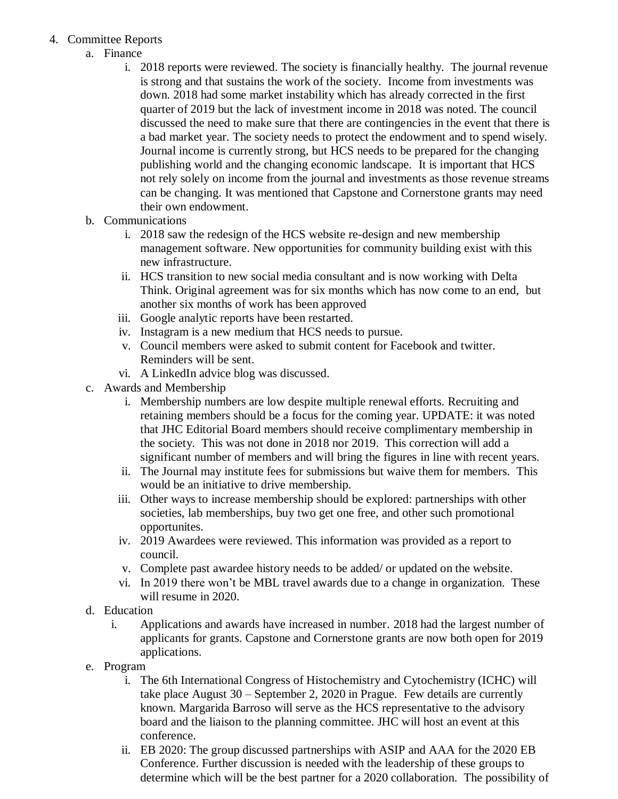## 4. Committee Reports

- a. Finance
	- i. 2018 reports were reviewed. The society is financially healthy. The journal revenue is strong and that sustains the work of the society. Income from investments was down. 2018 had some market instability which has already corrected in the first quarter of 2019 but the lack of investment income in 2018 was noted. The council discussed the need to make sure that there are contingencies in the event that there is a bad market year. The society needs to protect the endowment and to spend wisely. Journal income is currently strong, but HCS needs to be prepared for the changing publishing world and the changing economic landscape. It is important that HCS not rely solely on income from the journal and investments as those revenue streams can be changing. It was mentioned that Capstone and Cornerstone grants may need their own endowment.
- b. Communications
	- i. 2018 saw the redesign of the HCS website re-design and new membership management software. New opportunities for community building exist with this new infrastructure.
	- ii. HCS transition to new social media consultant and is now working with Delta Think. Original agreement was for six months which has now come to an end, but another six months of work has been approved
	- iii. Google analytic reports have been restarted.
	- iv. Instagram is a new medium that HCS needs to pursue.
	- v. Council members were asked to submit content for Facebook and twitter. Reminders will be sent.
	- vi. A LinkedIn advice blog was discussed.
- c. Awards and Membership
	- i. Membership numbers are low despite multiple renewal efforts. Recruiting and retaining members should be a focus for the coming year. UPDATE: it was noted that JHC Editorial Board members should receive complimentary membership in the society. This was not done in 2018 nor 2019. This correction will add a significant number of members and will bring the figures in line with recent years.
	- ii. The Journal may institute fees for submissions but waive them for members. This would be an initiative to drive membership.
	- iii. Other ways to increase membership should be explored: partnerships with other societies, lab memberships, buy two get one free, and other such promotional opportunites.
	- iv. 2019 Awardees were reviewed. This information was provided as a report to council.
	- v. Complete past awardee history needs to be added/ or updated on the website.
	- vi. In 2019 there won't be MBL travel awards due to a change in organization. These will resume in 2020.
- d. Education
	- i. Applications and awards have increased in number. 2018 had the largest number of applicants for grants. Capstone and Cornerstone grants are now both open for 2019 applications.
- e. Program
	- i. The 6th International Congress of Histochemistry and Cytochemistry (ICHC) will take place August 30 – September 2, 2020 in Prague. Few details are currently known. Margarida Barroso will serve as the HCS representative to the advisory board and the liaison to the planning committee. JHC will host an event at this conference.
	- ii. EB 2020: The group discussed partnerships with ASIP and AAA for the 2020 EB Conference. Further discussion is needed with the leadership of these groups to determine which will be the best partner for a 2020 collaboration. The possibility of